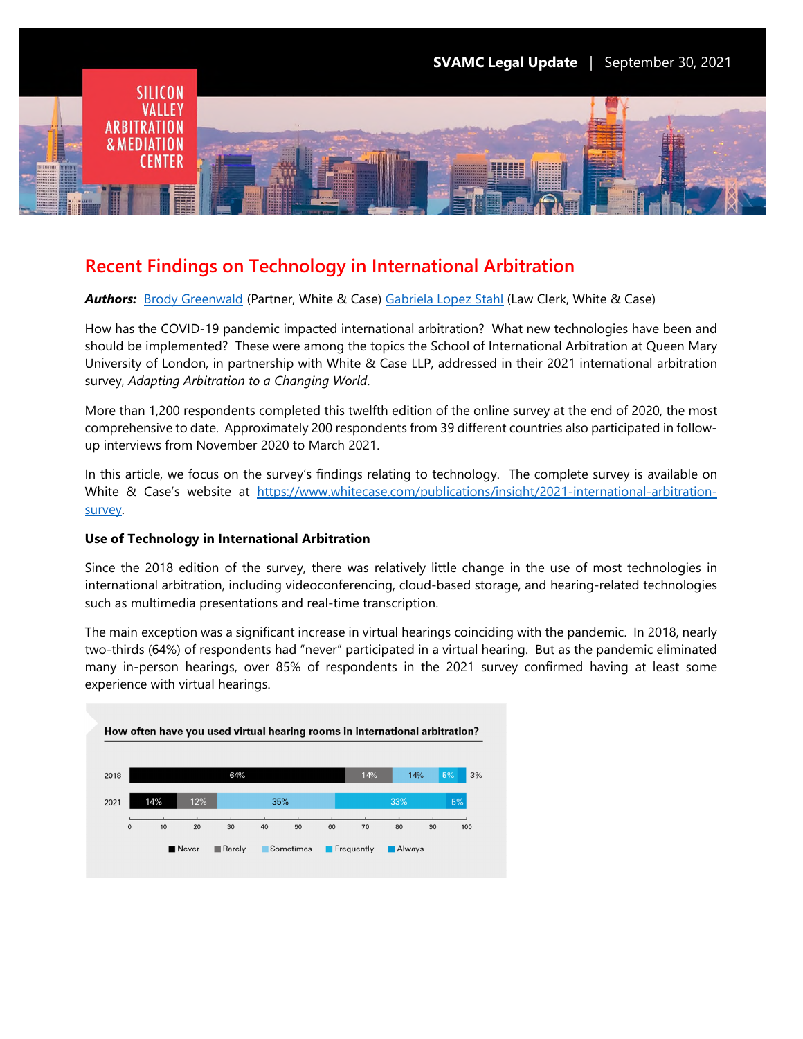

# **Recent Findings on Technology in International Arbitration**

*Authors:* [Brody Greenwald](https://www.whitecase.com/people/brody-greenwald) (Partner, White & Case) [Gabriela Lopez Stahl](https://www.whitecase.com/people/gabriela-lopez-stahl) (Law Clerk, White & Case)

How has the COVID-19 pandemic impacted international arbitration? What new technologies have been and should be implemented? These were among the topics the School of International Arbitration at Queen Mary University of London, in partnership with White & Case LLP, addressed in their 2021 international arbitration survey, *Adapting Arbitration to a Changing World*.

More than 1,200 respondents completed this twelfth edition of the online survey at the end of 2020, the most comprehensive to date. Approximately 200 respondents from 39 different countries also participated in followup interviews from November 2020 to March 2021.

In this article, we focus on the survey's findings relating to technology. The complete survey is available on White & Case's website at [https://www.whitecase.com/publications/insight/2021-international-arbitration](https://www.whitecase.com/publications/insight/2021-international-arbitration-survey)[survey.](https://www.whitecase.com/publications/insight/2021-international-arbitration-survey)

# **Use of Technology in International Arbitration**

Since the 2018 edition of the survey, there was relatively little change in the use of most technologies in international arbitration, including videoconferencing, cloud-based storage, and hearing-related technologies such as multimedia presentations and real-time transcription.

The main exception was a significant increase in virtual hearings coinciding with the pandemic. In 2018, nearly two-thirds (64%) of respondents had "never" participated in a virtual hearing. But as the pandemic eliminated many in-person hearings, over 85% of respondents in the 2021 survey confirmed having at least some experience with virtual hearings.